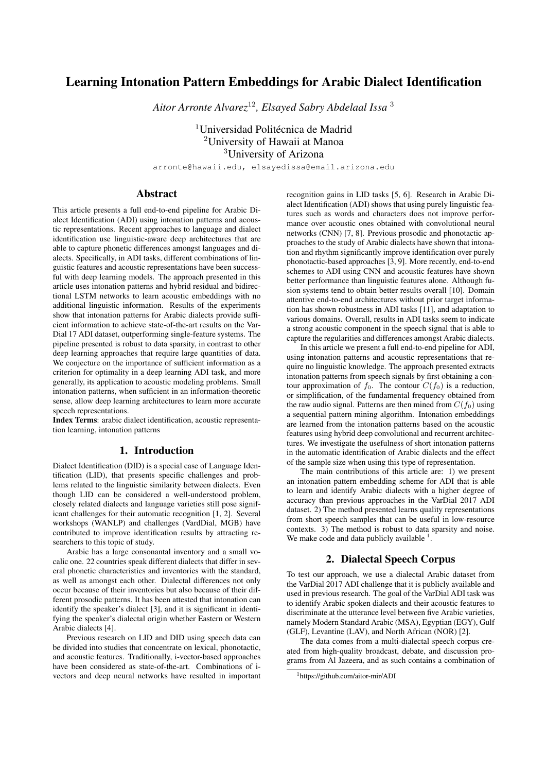# Learning Intonation Pattern Embeddings for Arabic Dialect Identification

*Aitor Arronte Alvarez*<sup>12</sup>*, Elsayed Sabry Abdelaal Issa* <sup>3</sup>

<sup>1</sup>Universidad Politécnica de Madrid <sup>2</sup>University of Hawaii at Manoa <sup>3</sup>University of Arizona

arronte@hawaii.edu, elsayedissa@email.arizona.edu

# Abstract

This article presents a full end-to-end pipeline for Arabic Dialect Identification (ADI) using intonation patterns and acoustic representations. Recent approaches to language and dialect identification use linguistic-aware deep architectures that are able to capture phonetic differences amongst languages and dialects. Specifically, in ADI tasks, different combinations of linguistic features and acoustic representations have been successful with deep learning models. The approach presented in this article uses intonation patterns and hybrid residual and bidirectional LSTM networks to learn acoustic embeddings with no additional linguistic information. Results of the experiments show that intonation patterns for Arabic dialects provide sufficient information to achieve state-of-the-art results on the Var-Dial 17 ADI dataset, outperforming single-feature systems. The pipeline presented is robust to data sparsity, in contrast to other deep learning approaches that require large quantities of data. We conjecture on the importance of sufficient information as a criterion for optimality in a deep learning ADI task, and more generally, its application to acoustic modeling problems. Small intonation patterns, when sufficient in an information-theoretic sense, allow deep learning architectures to learn more accurate speech representations.

Index Terms: arabic dialect identification, acoustic representation learning, intonation patterns

# 1. Introduction

Dialect Identification (DID) is a special case of Language Identification (LID), that presents specific challenges and problems related to the linguistic similarity between dialects. Even though LID can be considered a well-understood problem, closely related dialects and language varieties still pose significant challenges for their automatic recognition [1, 2]. Several workshops (WANLP) and challenges (VardDial, MGB) have contributed to improve identification results by attracting researchers to this topic of study.

Arabic has a large consonantal inventory and a small vocalic one. 22 countries speak different dialects that differ in several phonetic characteristics and inventories with the standard, as well as amongst each other. Dialectal differences not only occur because of their inventories but also because of their different prosodic patterns. It has been attested that intonation can identify the speaker's dialect [3], and it is significant in identifying the speaker's dialectal origin whether Eastern or Western Arabic dialects [4].

Previous research on LID and DID using speech data can be divided into studies that concentrate on lexical, phonotactic, and acoustic features. Traditionally, i-vector-based approaches have been considered as state-of-the-art. Combinations of ivectors and deep neural networks have resulted in important recognition gains in LID tasks [5, 6]. Research in Arabic Dialect Identification (ADI) shows that using purely linguistic features such as words and characters does not improve performance over acoustic ones obtained with convolutional neural networks (CNN) [7, 8]. Previous prosodic and phonotactic approaches to the study of Arabic dialects have shown that intonation and rhythm significantly improve identification over purely phonotactic-based approaches [3, 9]. More recently, end-to-end schemes to ADI using CNN and acoustic features have shown better performance than linguistic features alone. Although fusion systems tend to obtain better results overall [10]. Domain attentive end-to-end architectures without prior target information has shown robustness in ADI tasks [11], and adaptation to various domains. Overall, results in ADI tasks seem to indicate a strong acoustic component in the speech signal that is able to capture the regularities and differences amongst Arabic dialects.

In this article we present a full end-to-end pipeline for ADI, using intonation patterns and acoustic representations that require no linguistic knowledge. The approach presented extracts intonation patterns from speech signals by first obtaining a contour approximation of  $f_0$ . The contour  $C(f_0)$  is a reduction, or simplification, of the fundamental frequency obtained from the raw audio signal. Patterns are then mined from  $C(f_0)$  using a sequential pattern mining algorithm. Intonation embeddings are learned from the intonation patterns based on the acoustic features using hybrid deep convolutional and recurrent architectures. We investigate the usefulness of short intonation patterns in the automatic identification of Arabic dialects and the effect of the sample size when using this type of representation.

The main contributions of this article are: 1) we present an intonation pattern embedding scheme for ADI that is able to learn and identify Arabic dialects with a higher degree of accuracy than previous approaches in the VarDial 2017 ADI dataset. 2) The method presented learns quality representations from short speech samples that can be useful in low-resource contexts. 3) The method is robust to data sparsity and noise. We make code and data publicly available  $<sup>1</sup>$ .</sup>

# 2. Dialectal Speech Corpus

To test our approach, we use a dialectal Arabic dataset from the VarDial 2017 ADI challenge that it is publicly available and used in previous research. The goal of the VarDial ADI task was to identify Arabic spoken dialects and their acoustic features to discriminate at the utterance level between five Arabic varieties, namely Modern Standard Arabic (MSA), Egyptian (EGY), Gulf (GLF), Levantine (LAV), and North African (NOR) [2].

The data comes from a multi-dialectal speech corpus created from high-quality broadcast, debate, and discussion programs from Al Jazeera, and as such contains a combination of

<sup>1</sup>https://github.com/aitor-mir/ADI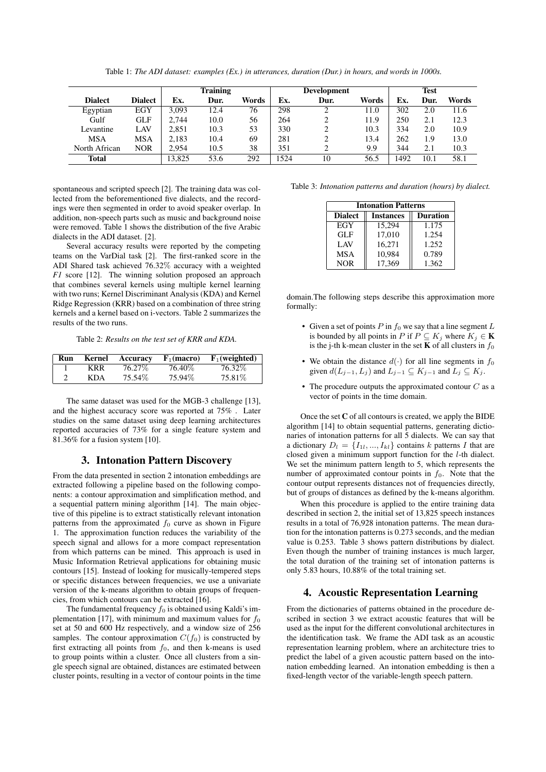|                |                |        | <b>Training</b> |       |      | <b>Development</b> |       |      | <b>Test</b> |       |
|----------------|----------------|--------|-----------------|-------|------|--------------------|-------|------|-------------|-------|
| <b>Dialect</b> | <b>Dialect</b> | Ex.    | Dur.            | Words | Ex.  | Dur.               | Words | Ex.  | Dur.        | Words |
| Egyptian       | EGY            | 3.093  | 12.4            | 76    | 298  |                    | 11.0  | 302  | 2.0         | 11.6  |
| Gulf           | GLF            | 2.744  | 10.0            | 56    | 264  | 2                  | 11.9  | 250  | 2.1         | 12.3  |
| Levantine      | LAV            | 2.851  | 10.3            | 53    | 330  | 2                  | 10.3  | 334  | 2.0         | 10.9  |
| <b>MSA</b>     | MSA            | 2.183  | 10.4            | 69    | 281  | 2                  | 13.4  | 262  | 1.9         | 13.0  |
| North African  | <b>NOR</b>     | 2.954  | 10.5            | 38    | 351  | ∍                  | 9.9   | 344  | 2.1         | 10.3  |
| <b>Total</b>   |                | 13,825 | 53.6            | 292   | 1524 | 10                 | 56.5  | 1492 | 10.1        | 58.1  |

Table 1: *The ADI dataset: examples (Ex.) in utterances, duration (Dur.) in hours, and words in 1000s.*

spontaneous and scripted speech [2]. The training data was collected from the beforementioned five dialects, and the recordings were then segmented in order to avoid speaker overlap. In addition, non-speech parts such as music and background noise were removed. Table 1 shows the distribution of the five Arabic dialects in the ADI dataset. [2].

Several accuracy results were reported by the competing teams on the VarDial task [2]. The first-ranked score in the ADI Shared task achieved 76.32% accuracy with a weighted *F1* score [12]. The winning solution proposed an approach that combines several kernels using multiple kernel learning with two runs; Kernel Discriminant Analysis (KDA) and Kernel Ridge Regression (KRR) based on a combination of three string kernels and a kernel based on i-vectors. Table 2 summarizes the results of the two runs.

Table 2: *Results on the test set of KRR and KDA.*

| Run | Kernel     | Accuracy | $\mathbf{F}_1(\text{macro})$ | $F_1$ (weighted) |
|-----|------------|----------|------------------------------|------------------|
|     | KRR        | 76.27%   | 76.40%                       | 76.32\%          |
| ◠   | <b>KDA</b> | 75.54%   | 75.94\%                      | 75.81\%          |

The same dataset was used for the MGB-3 challenge [13], and the highest accuracy score was reported at 75% . Later studies on the same dataset using deep learning architectures reported accuracies of 73% for a single feature system and 81.36% for a fusion system [10].

### 3. Intonation Pattern Discovery

From the data presented in section 2 intonation embeddings are extracted following a pipeline based on the following components: a contour approximation and simplification method, and a sequential pattern mining algorithm [14]. The main objective of this pipeline is to extract statistically relevant intonation patterns from the approximated  $f_0$  curve as shown in Figure 1. The approximation function reduces the variability of the speech signal and allows for a more compact representation from which patterns can be mined. This approach is used in Music Information Retrieval applications for obtaining music contours [15]. Instead of looking for musically-tempered steps or specific distances between frequencies, we use a univariate version of the k-means algorithm to obtain groups of frequencies, from which contours can be extracted [16].

The fundamental frequency  $f_0$  is obtained using Kaldi's implementation [17], with minimum and maximum values for  $f_0$ set at 50 and 600 Hz respectively, and a window size of 256 samples. The contour approximation  $C(f_0)$  is constructed by first extracting all points from  $f_0$ , and then k-means is used to group points within a cluster. Once all clusters from a single speech signal are obtained, distances are estimated between cluster points, resulting in a vector of contour points in the time

Table 3: *Intonation patterns and duration (hours) by dialect.*

| <b>Intonation Patterns</b> |                  |                 |  |  |  |
|----------------------------|------------------|-----------------|--|--|--|
| <b>Dialect</b>             | <b>Instances</b> | <b>Duration</b> |  |  |  |
| EGY                        | 15.294           | 1.175           |  |  |  |
| <b>GLF</b>                 | 17,010           | 1.254           |  |  |  |
| LAV <sub></sub>            | 16,271           | 1.252           |  |  |  |
| <b>MSA</b>                 | 10.984           | 0.789           |  |  |  |
| <b>NOR</b>                 | 17.369           | 1.362           |  |  |  |

domain.The following steps describe this approximation more formally:

- Given a set of points  $P$  in  $f_0$  we say that a line segment  $L$ is bounded by all points in P if  $P \subseteq K_i$  where  $K_i \in \mathbf{K}$ is the j-th k-mean cluster in the set **K** of all clusters in  $f_0$
- We obtain the distance  $d(\cdot)$  for all line segments in  $f_0$ given  $d(L_{j-1}, L_j)$  and  $L_{j-1} \subseteq K_{j-1}$  and  $L_j \subseteq K_j$ .
- The procedure outputs the approximated contour  $C$  as a vector of points in the time domain.

Once the set  $C$  of all contours is created, we apply the BIDE algorithm [14] to obtain sequential patterns, generating dictionaries of intonation patterns for all 5 dialects. We can say that a dictionary  $D_l = \{I_{1l},...,I_{kl}\}\$ contains k patterns I that are closed given a minimum support function for the l-th dialect. We set the minimum pattern length to 5, which represents the number of approximated contour points in  $f_0$ . Note that the contour output represents distances not of frequencies directly, but of groups of distances as defined by the k-means algorithm.

When this procedure is applied to the entire training data described in section 2, the initial set of 13,825 speech instances results in a total of 76,928 intonation patterns. The mean duration for the intonation patterns is 0.273 seconds, and the median value is 0.253. Table 3 shows pattern distributions by dialect. Even though the number of training instances is much larger, the total duration of the training set of intonation patterns is only 5.83 hours, 10.88% of the total training set.

### 4. Acoustic Representation Learning

From the dictionaries of patterns obtained in the procedure described in section 3 we extract acoustic features that will be used as the input for the different convolutional architectures in the identification task. We frame the ADI task as an acoustic representation learning problem, where an architecture tries to predict the label of a given acoustic pattern based on the intonation embedding learned. An intonation embedding is then a fixed-length vector of the variable-length speech pattern.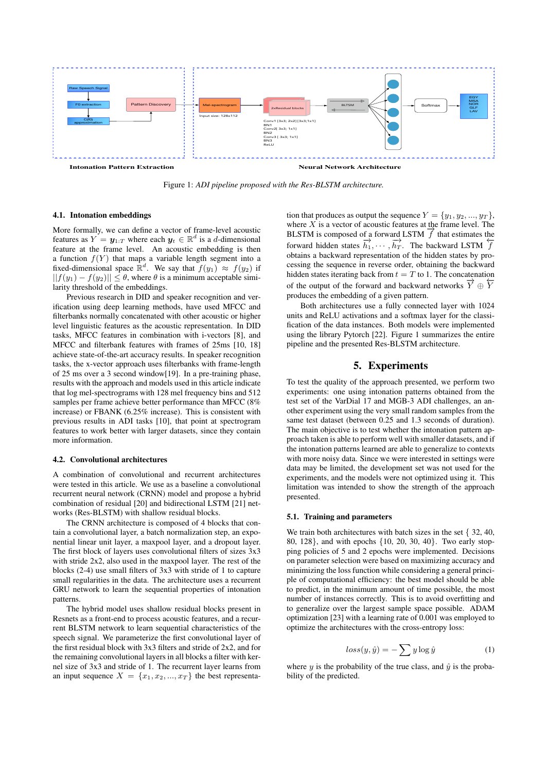

Figure 1: *ADI pipeline proposed with the Res-BLSTM architecture.*

#### 4.1. Intonation embeddings

More formally, we can define a vector of frame-level acoustic features as  $Y = y_{1:T}$  where each  $y_t \in \mathbb{R}^d$  is a d-dimensional feature at the frame level. An acoustic embedding is then a function  $f(Y)$  that maps a variable length segment into a fixed-dimensional space  $\mathbb{R}^d$ . We say that  $f(y_1) \approx f(y_2)$  if  $||f(y_1) - f(y_2)|| < \theta$ , where  $\theta$  is a minimum acceptable similarity threshold of the embeddings.

Previous research in DID and speaker recognition and verification using deep learning methods, have used MFCC and filterbanks normally concatenated with other acoustic or higher level linguistic features as the acoustic representation. In DID tasks, MFCC features in combination with i-vectors [8], and MFCC and filterbank features with frames of 25ms [10, 18] achieve state-of-the-art accuracy results. In speaker recognition tasks, the x-vector approach uses filterbanks with frame-length of 25 ms over a 3 second window[19]. In a pre-training phase, results with the approach and models used in this article indicate that log mel-spectrograms with 128 mel frequency bins and 512 samples per frame achieve better performance than MFCC (8% increase) or FBANK (6.25% increase). This is consistent with previous results in ADI tasks [10], that point at spectrogram features to work better with larger datasets, since they contain more information.

#### 4.2. Convolutional architectures

A combination of convolutional and recurrent architectures were tested in this article. We use as a baseline a convolutional recurrent neural network (CRNN) model and propose a hybrid combination of residual [20] and bidirectional LSTM [21] networks (Res-BLSTM) with shallow residual blocks.

The CRNN architecture is composed of 4 blocks that contain a convolutional layer, a batch normalization step, an exponential linear unit layer, a maxpool layer, and a dropout layer. The first block of layers uses convolutional filters of sizes 3x3 with stride 2x2, also used in the maxpool layer. The rest of the blocks (2-4) use small filters of 3x3 with stride of 1 to capture small regularities in the data. The architecture uses a recurrent GRU network to learn the sequential properties of intonation patterns.

The hybrid model uses shallow residual blocks present in Resnets as a front-end to process acoustic features, and a recurrent BLSTM network to learn sequential characteristics of the speech signal. We parameterize the first convolutional layer of the first residual block with 3x3 filters and stride of 2x2, and for the remaining convolutional layers in all blocks a filter with kernel size of 3x3 and stride of 1. The recurrent layer learns from an input sequence  $X = \{x_1, x_2, ..., x_T\}$  the best representa-

tion that produces as output the sequence  $Y = \{y_1, y_2, ..., y_T\},\$ where  $X$  is a vector of acoustic features at the frame level. The where  $\overline{A}$  is a vector of acoustic reatures at the frame level. The BLSTM is composed of a forward LSTM  $\overrightarrow{f}$  that estimates the forward hidden states  $\overrightarrow{h_1}, \dots, \overrightarrow{h_T}$ . The backward LSTM  $\overleftarrow{f}$ obtains a backward representation of the hidden states by processing the sequence in reverse order, obtaining the backward hidden states iterating back from  $t = T$  to 1. The concatenation of the output of the forward and backward networks  $\overrightarrow{Y} \oplus \overleftarrow{Y}$ produces the embedding of a given pattern.

Both architectures use a fully connected layer with 1024 units and ReLU activations and a softmax layer for the classification of the data instances. Both models were implemented using the library Pytorch [22]. Figure 1 summarizes the entire pipeline and the presented Res-BLSTM architecture.

### 5. Experiments

To test the quality of the approach presented, we perform two experiments: one using intonation patterns obtained from the test set of the VarDial 17 and MGB-3 ADI challenges, an another experiment using the very small random samples from the same test dataset (between 0.25 and 1.3 seconds of duration). The main objective is to test whether the intonation pattern approach taken is able to perform well with smaller datasets, and if the intonation patterns learned are able to generalize to contexts with more noisy data. Since we were interested in settings were data may be limited, the development set was not used for the experiments, and the models were not optimized using it. This limitation was intended to show the strength of the approach presented.

#### 5.1. Training and parameters

We train both architectures with batch sizes in the set { 32, 40, 80, 128}, and with epochs {10, 20, 30, 40}. Two early stopping policies of 5 and 2 epochs were implemented. Decisions on parameter selection were based on maximizing accuracy and minimizing the loss function while considering a general principle of computational efficiency: the best model should be able to predict, in the minimum amount of time possible, the most number of instances correctly. This is to avoid overfitting and to generalize over the largest sample space possible. ADAM optimization [23] with a learning rate of 0.001 was employed to optimize the architectures with the cross-entropy loss:

$$
loss(y, \hat{y}) = -\sum y \log \hat{y} \tag{1}
$$

where y is the probability of the true class, and  $\hat{y}$  is the probability of the predicted.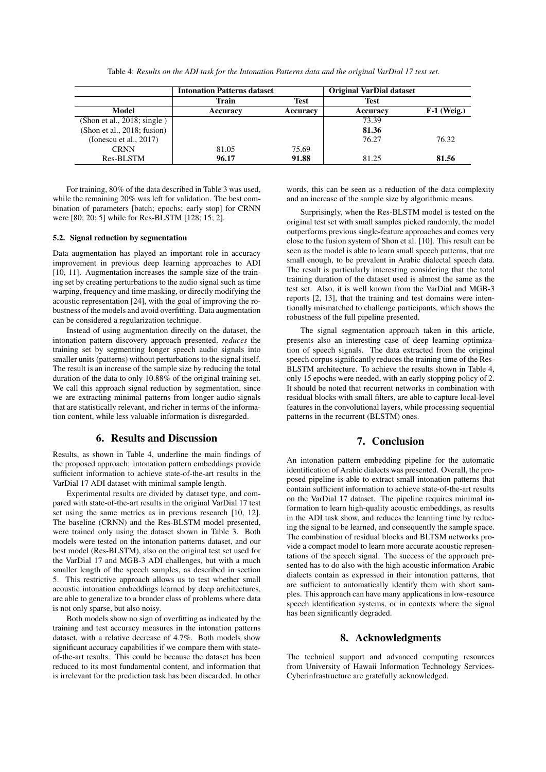|                                | <b>Intonation Patterns dataset</b> |          | <b>Original VarDial dataset</b> |               |
|--------------------------------|------------------------------------|----------|---------------------------------|---------------|
|                                | Train                              | Test     | <b>Test</b>                     |               |
| Model                          | Accuracy                           | Accuracy | Accuracy                        | $F-1$ (Weig.) |
| (Shon et al., 2018; single)    |                                    |          | 73.39                           |               |
| (Shon et al., $2018$ ; fusion) |                                    |          | 81.36                           |               |
| (Ionescu et al., 2017)         |                                    |          | 76.27                           | 76.32         |
| <b>CRNN</b>                    | 81.05                              | 75.69    |                                 |               |
| Res-BLSTM                      | 96.17                              | 91.88    | 81.25                           | 81.56         |

Table 4: *Results on the ADI task for the Intonation Patterns data and the original VarDial 17 test set.*

For training, 80% of the data described in Table 3 was used, while the remaining 20% was left for validation. The best combination of parameters [batch; epochs; early stop] for CRNN were [80; 20; 5] while for Res-BLSTM [128; 15; 2].

#### 5.2. Signal reduction by segmentation

Data augmentation has played an important role in accuracy improvement in previous deep learning approaches to ADI [10, 11]. Augmentation increases the sample size of the training set by creating perturbations to the audio signal such as time warping, frequency and time masking, or directly modifying the acoustic representation [24], with the goal of improving the robustness of the models and avoid overfitting. Data augmentation can be considered a regularization technique.

Instead of using augmentation directly on the dataset, the intonation pattern discovery approach presented, *reduces* the training set by segmenting longer speech audio signals into smaller units (patterns) without perturbations to the signal itself. The result is an increase of the sample size by reducing the total duration of the data to only 10.88% of the original training set. We call this approach signal reduction by segmentation, since we are extracting minimal patterns from longer audio signals that are statistically relevant, and richer in terms of the information content, while less valuable information is disregarded.

# 6. Results and Discussion

Results, as shown in Table 4, underline the main findings of the proposed approach: intonation pattern embeddings provide sufficient information to achieve state-of-the-art results in the VarDial 17 ADI dataset with minimal sample length.

Experimental results are divided by dataset type, and compared with state-of-the-art results in the original VarDial 17 test set using the same metrics as in previous research [10, 12]. The baseline (CRNN) and the Res-BLSTM model presented, were trained only using the dataset shown in Table 3. Both models were tested on the intonation patterns dataset, and our best model (Res-BLSTM), also on the original test set used for the VarDial 17 and MGB-3 ADI challenges, but with a much smaller length of the speech samples, as described in section 5. This restrictive approach allows us to test whether small acoustic intonation embeddings learned by deep architectures, are able to generalize to a broader class of problems where data is not only sparse, but also noisy.

Both models show no sign of overfitting as indicated by the training and test accuracy measures in the intonation patterns dataset, with a relative decrease of 4.7%. Both models show significant accuracy capabilities if we compare them with stateof-the-art results. This could be because the dataset has been reduced to its most fundamental content, and information that is irrelevant for the prediction task has been discarded. In other

words, this can be seen as a reduction of the data complexity and an increase of the sample size by algorithmic means.

Surprisingly, when the Res-BLSTM model is tested on the original test set with small samples picked randomly, the model outperforms previous single-feature approaches and comes very close to the fusion system of Shon et al. [10]. This result can be seen as the model is able to learn small speech patterns, that are small enough, to be prevalent in Arabic dialectal speech data. The result is particularly interesting considering that the total training duration of the dataset used is almost the same as the test set. Also, it is well known from the VarDial and MGB-3 reports [2, 13], that the training and test domains were intentionally mismatched to challenge participants, which shows the robustness of the full pipeline presented.

The signal segmentation approach taken in this article, presents also an interesting case of deep learning optimization of speech signals. The data extracted from the original speech corpus significantly reduces the training time of the Res-BLSTM architecture. To achieve the results shown in Table 4, only 15 epochs were needed, with an early stopping policy of 2. It should be noted that recurrent networks in combination with residual blocks with small filters, are able to capture local-level features in the convolutional layers, while processing sequential patterns in the recurrent (BLSTM) ones.

# 7. Conclusion

An intonation pattern embedding pipeline for the automatic identification of Arabic dialects was presented. Overall, the proposed pipeline is able to extract small intonation patterns that contain sufficient information to achieve state-of-the-art results on the VarDial 17 dataset. The pipeline requires minimal information to learn high-quality acoustic embeddings, as results in the ADI task show, and reduces the learning time by reducing the signal to be learned, and consequently the sample space. The combination of residual blocks and BLTSM networks provide a compact model to learn more accurate acoustic representations of the speech signal. The success of the approach presented has to do also with the high acoustic information Arabic dialects contain as expressed in their intonation patterns, that are sufficient to automatically identify them with short samples. This approach can have many applications in low-resource speech identification systems, or in contexts where the signal has been significantly degraded.

### 8. Acknowledgments

The technical support and advanced computing resources from University of Hawaii Information Technology Services-Cyberinfrastructure are gratefully acknowledged.